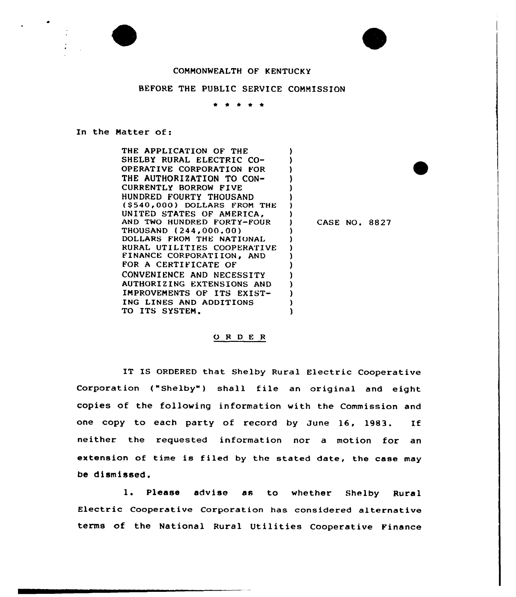

## COMMONWEALTH OF KENTUCKY

## BEFORE THE PUBLIC SERVICE COMMISSION

 $\bullet$ 

## In the Matter of:

THE APPLICATION OF THE SHELBY RURAL ELECTRIC CO-OPERATIVE CORPORATION FOR THE AUTHORIZATION TO CON-CURRENTLY BORROW FIVE HUNDRED FOURTY THOUSAND (\$540,000) DOLLARS FROM THE UNITED STATES OF AMERICA, AND TWO HUNDRED FORTY-FOUR THOUSAND (244,000.00) DOLLARS FROM THE NATIONAL RURAL UTILITIES COOPERATIVE FINANCE CORPORATIION, AND FOR A CERTIFICATE OF CONVENIENCE AND NECESSITY AUTHORIZING EXTENSIONS AND IMPROVEMENTS OF ITS EXIST-ING LINES AND ADDITIONS TO ITS SYSTEM. ) ) ) ) ) ) ) ) ) ) ) ) ) ) ) ) )

) CASE NO. 8827

)

## ORDER

IT IS ORDERED that Shelby Rural Electric Cooperative Corporation ("Shelby") shall file an original and eight copies of the following information with the Commission and one copy to each party of record by June 16, 1983. If neither the requested information nor a motion for an extension of time is filed by the stated date, the case may be dismissed.

1. Please advise as to whether Shelby Rural Electric Cooperative Corporation has considered alternative terms of the National Rural Utilities Cooperative Finance